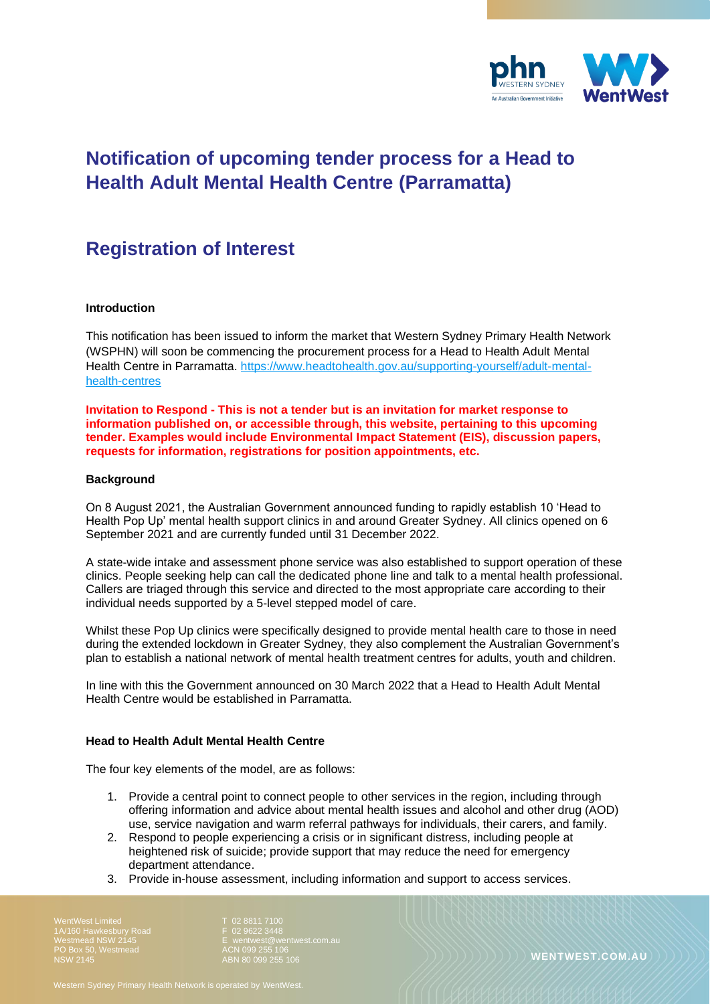

# **Notification of upcoming tender process for a Head to Health Adult Mental Health Centre (Parramatta)**

## **Registration of Interest**

## **Introduction**

This notification has been issued to inform the market that Western Sydney Primary Health Network (WSPHN) will soon be commencing the procurement process for a Head to Health Adult Mental Health Centre in Parramatta. [https://www.headtohealth.gov.au/supporting-yourself/adult-mental](https://www.headtohealth.gov.au/supporting-yourself/adult-mental-health-centres)[health-centres](https://www.headtohealth.gov.au/supporting-yourself/adult-mental-health-centres)

**Invitation to Respond - This is not a tender but is an invitation for market response to information published on, or accessible through, this website, pertaining to this upcoming tender. Examples would include Environmental Impact Statement (EIS), discussion papers, requests for information, registrations for position appointments, etc.**

### **Background**

On 8 August 2021, the Australian Government announced funding to rapidly establish 10 'Head to Health Pop Up' mental health support clinics in and around Greater Sydney. All clinics opened on 6 September 2021 and are currently funded until 31 December 2022.

A state-wide intake and assessment phone service was also established to support operation of these clinics. People seeking help can call the dedicated phone line and talk to a mental health professional. Callers are triaged through this service and directed to the most appropriate care according to their individual needs supported by a 5-level stepped model of care.

Whilst these Pop Up clinics were specifically designed to provide mental health care to those in need during the extended lockdown in Greater Sydney, they also complement the Australian Government's plan to establish a national network of mental health treatment centres for adults, youth and children.

In line with this the Government announced on 30 March 2022 that a Head to Health Adult Mental Health Centre would be established in Parramatta.

## **Head to Health Adult Mental Health Centre**

The four key elements of the model, are as follows:

- 1. Provide a central point to connect people to other services in the region, including through offering information and advice about mental health issues and alcohol and other drug (AOD) use, service navigation and warm referral pathways for individuals, their carers, and family.
- 2. Respond to people experiencing a crisis or in significant distress, including people at heightened risk of suicide; provide support that may reduce the need for emergency department attendance.
- 3. Provide in-house assessment, including information and support to access services.

WentWest Limited Westmead NSW 2145 NSW 2145

F 02 9622 3448 ABN 80 099 255 106<br>ABN 80 099 255 106 **WENTWEST.COM.AU**